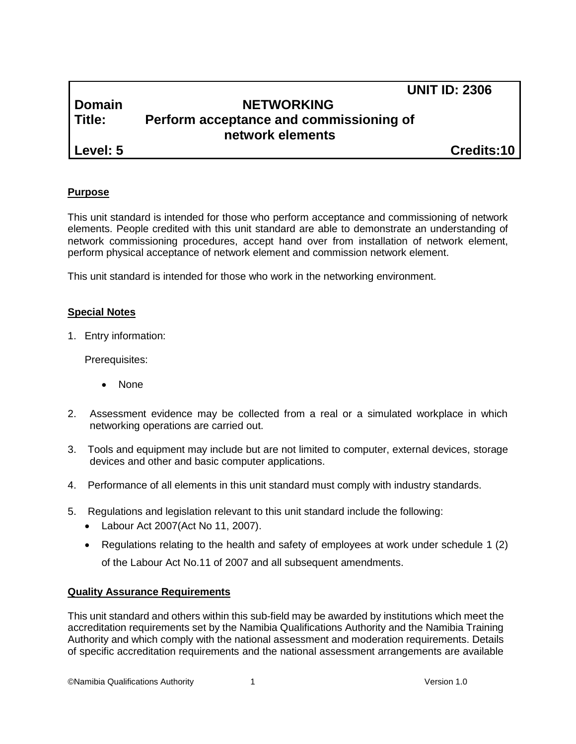|               |                                                             | <b>UNIT ID: 2306</b> |
|---------------|-------------------------------------------------------------|----------------------|
| <b>Domain</b> | <b>NETWORKING</b>                                           |                      |
| Title:        | Perform acceptance and commissioning of<br>network elements |                      |
| Level: 5      |                                                             | Credits:10           |

# **Purpose**

This unit standard is intended for those who perform acceptance and commissioning of network elements. People credited with this unit standard are able to demonstrate an understanding of network commissioning procedures, accept hand over from installation of network element, perform physical acceptance of network element and commission network element.

This unit standard is intended for those who work in the networking environment.

# **Special Notes**

1. Entry information:

Prerequisites:

- None
- 2. Assessment evidence may be collected from a real or a simulated workplace in which networking operations are carried out.
- 3. Tools and equipment may include but are not limited to computer, external devices, storage devices and other and basic computer applications.
- 4. Performance of all elements in this unit standard must comply with industry standards.
- 5. Regulations and legislation relevant to this unit standard include the following:
	- Labour Act 2007(Act No 11, 2007).
	- Regulations relating to the health and safety of employees at work under schedule 1 (2) of the Labour Act No.11 of 2007 and all subsequent amendments.

# **Quality Assurance Requirements**

This unit standard and others within this sub-field may be awarded by institutions which meet the accreditation requirements set by the Namibia Qualifications Authority and the Namibia Training Authority and which comply with the national assessment and moderation requirements. Details of specific accreditation requirements and the national assessment arrangements are available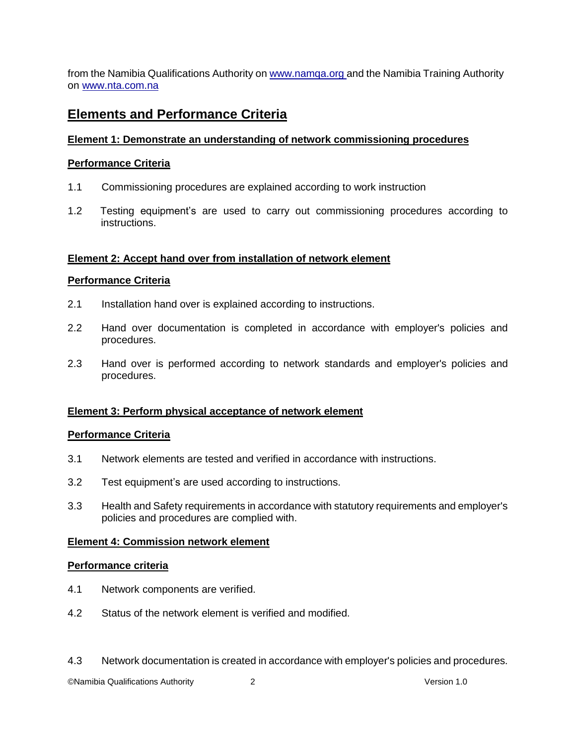from the Namibia Qualifications Authority o[n www.namqa.org a](http://www.namqa.org/)nd the Namibia Training Authority on [www.nta.com.na](http://www.nta.com.na/)

# **Elements and Performance Criteria**

# **Element 1: Demonstrate an understanding of network commissioning procedures**

#### **Performance Criteria**

- 1.1 Commissioning procedures are explained according to work instruction
- 1.2 Testing equipment's are used to carry out commissioning procedures according to instructions.

#### **Element 2: Accept hand over from installation of network element**

#### **Performance Criteria**

- 2.1 Installation hand over is explained according to instructions.
- 2.2 Hand over documentation is completed in accordance with employer's policies and procedures.
- 2.3 Hand over is performed according to network standards and employer's policies and procedures.

# **Element 3: Perform physical acceptance of network element**

#### **Performance Criteria**

- 3.1 Network elements are tested and verified in accordance with instructions.
- 3.2 Test equipment's are used according to instructions.
- 3.3 Health and Safety requirements in accordance with statutory requirements and employer's policies and procedures are complied with.

# **Element 4: Commission network element**

#### **Performance criteria**

- 4.1 Network components are verified.
- 4.2 Status of the network element is verified and modified.
- 4.3 Network documentation is created in accordance with employer's policies and procedures.